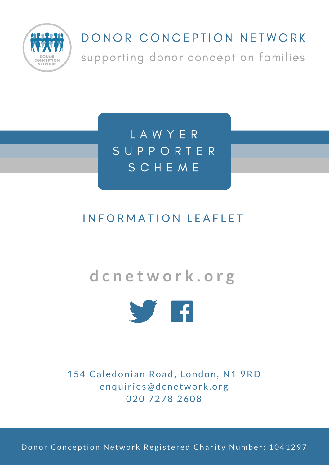

### DONOR CONCEPTION NETWORK

supporting donor conception families

L A W Y E R S U P P O R T E R S C H E M E

#### INFORMATION LEAFLET

## **d c n e t w o r k . o r g**



154 Caledonian Road, London, N1 9RD enquiries@dcnetwork.org 020 7278 2608

Donor Conception Network Registered Charity Number: 1041297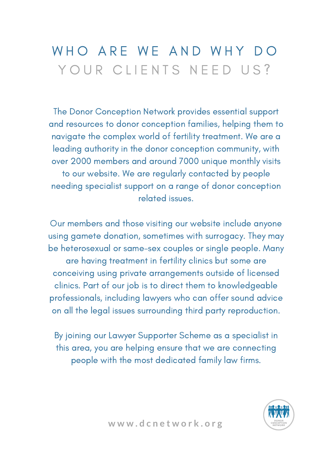# WHO ARE WE AND WHY DO YOUR CLIENTS NEED US?

The Donor Conception Network provides essential support and resources to donor conception families, helping them to navigate the complex world of fertility treatment. We are a leading authority in the donor conception community, with over 2000 members and around 7000 unique monthly visits to our website. We are regularly contacted by people needing specialist support on a range of donor conception related issues.

Our members and those visiting our website include anyone using gamete donation, sometimes with surrogacy. They may be heterosexual or same-sex couples or single people. Many are having treatment in fertility clinics but some are conceiving using private arrangements outside of licensed clinics. Part of our job is to direct them to knowledgeable professionals, including lawyers who can offer sound advice on all the legal issues surrounding third party reproduction.

By joining our Lawyer Supporter Scheme as a specialist in this area, you are helping ensure that we are connecting people with the most dedicated family law firms.

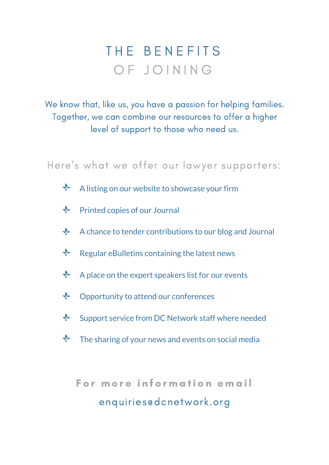# THE BENEFITS OF JOINING

We know that, like us, you have a passion for helping families. Together, we can combine our resources to offer a higher level of support to those who need us.

Here 's what we offer our lawyer supporters:

- $\frac{1}{2}$ A listing on our website to showcase your firm
- Printed copies of our Journal
- A chance to tender contributions to our blog and Journal
- $\frac{1}{2}$ Regular eBulletins containing the latest news
- $\frac{1}{2}$ A place on the expert speakers list for our events
- $\frac{1}{2}$ Opportunity to attend our conferences
- $\frac{1}{2}$ Support service from DC Network staff where needed
- $\sqrt[n]{ }$  The sharing of your news and events on social media

For more information email enquiries@dcnetwork.org